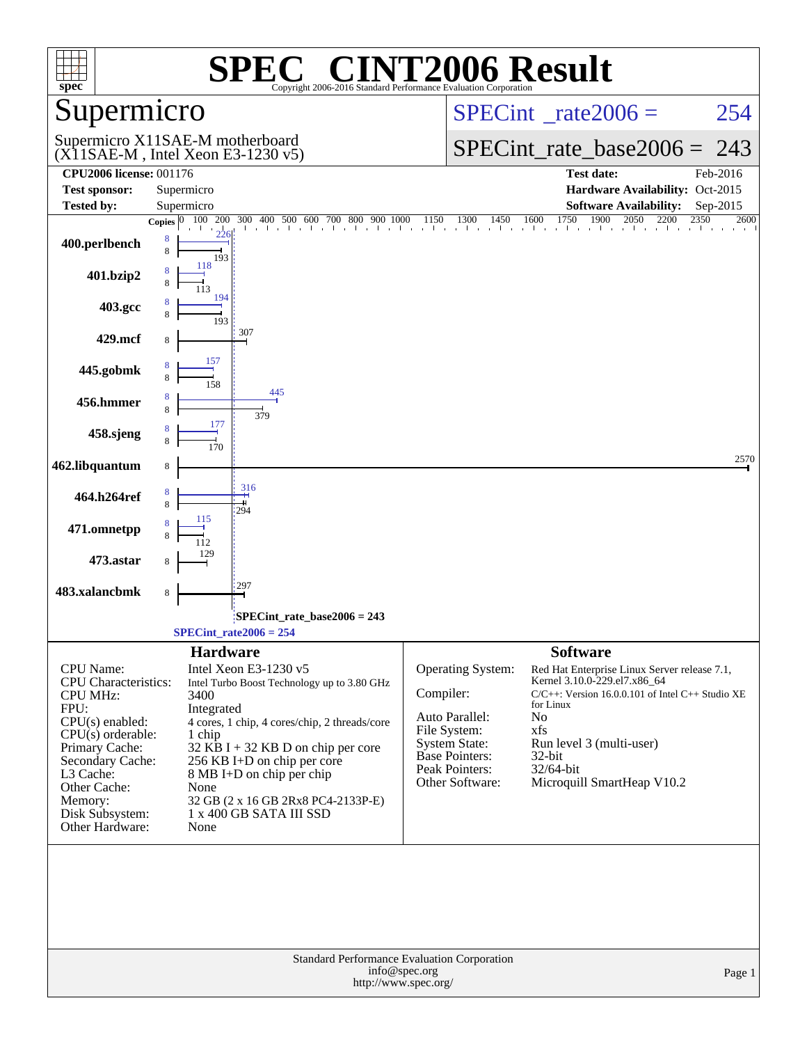| spec <sup>®</sup>                                                                                                                                                                                                                 | $\blacksquare$<br>Copyright 2006-2016 Standard Performance Evaluation Corporation                                                                                                                                                                                                                                                                             | <b>INT2006 Result</b>                                                                                                                                                                                                                                                                                                                                                                                                                |
|-----------------------------------------------------------------------------------------------------------------------------------------------------------------------------------------------------------------------------------|---------------------------------------------------------------------------------------------------------------------------------------------------------------------------------------------------------------------------------------------------------------------------------------------------------------------------------------------------------------|--------------------------------------------------------------------------------------------------------------------------------------------------------------------------------------------------------------------------------------------------------------------------------------------------------------------------------------------------------------------------------------------------------------------------------------|
| Supermicro                                                                                                                                                                                                                        |                                                                                                                                                                                                                                                                                                                                                               | $SPECint^{\circ}$ <sub>_rate2006</sub> =<br>254                                                                                                                                                                                                                                                                                                                                                                                      |
|                                                                                                                                                                                                                                   | Supermicro X11SAE-M motherboard<br>(X11SAE-M, Intel Xeon E3-1230 v5)                                                                                                                                                                                                                                                                                          | $SPECint_rate_base2006 =$<br>243                                                                                                                                                                                                                                                                                                                                                                                                     |
| <b>CPU2006 license: 001176</b>                                                                                                                                                                                                    |                                                                                                                                                                                                                                                                                                                                                               | <b>Test date:</b><br>Feb-2016                                                                                                                                                                                                                                                                                                                                                                                                        |
| <b>Test sponsor:</b>                                                                                                                                                                                                              | Supermicro                                                                                                                                                                                                                                                                                                                                                    | Hardware Availability: Oct-2015                                                                                                                                                                                                                                                                                                                                                                                                      |
| <b>Tested by:</b>                                                                                                                                                                                                                 | Supermicro                                                                                                                                                                                                                                                                                                                                                    | <b>Software Availability:</b><br>Sep-2015                                                                                                                                                                                                                                                                                                                                                                                            |
| 400.perlbench                                                                                                                                                                                                                     | 100 200<br>Copies $ 0 $<br>8<br>8<br>193                                                                                                                                                                                                                                                                                                                      | $\frac{300}{1} \quad \frac{400}{1} \quad \frac{500}{1} \quad \frac{600}{1} \quad \frac{700}{1} \quad \frac{800}{1} \quad \frac{900}{1} \quad \frac{1000}{1} \quad \frac{1150}{1} \quad \frac{1300}{1} \quad \frac{1450}{1} \quad \frac{1600}{1} \quad \frac{1750}{1} \quad \frac{1900}{1} \quad \frac{2050}{1} \quad \frac{2200}{1} \quad \frac{2350}{1} \quad \frac{1750}{1} \quad \frac{1750}{1} \$<br>2600                        |
| 401.bzip2                                                                                                                                                                                                                         | 118<br>8<br>113                                                                                                                                                                                                                                                                                                                                               |                                                                                                                                                                                                                                                                                                                                                                                                                                      |
| 403.gcc                                                                                                                                                                                                                           | 194<br>8<br>8<br>193                                                                                                                                                                                                                                                                                                                                          |                                                                                                                                                                                                                                                                                                                                                                                                                                      |
| 429.mcf                                                                                                                                                                                                                           | 307<br>8                                                                                                                                                                                                                                                                                                                                                      |                                                                                                                                                                                                                                                                                                                                                                                                                                      |
| 445.gobmk                                                                                                                                                                                                                         | 157<br>8<br>8<br>158<br>445                                                                                                                                                                                                                                                                                                                                   |                                                                                                                                                                                                                                                                                                                                                                                                                                      |
| 456.hmmer                                                                                                                                                                                                                         | 8<br>8<br>379<br>177                                                                                                                                                                                                                                                                                                                                          |                                                                                                                                                                                                                                                                                                                                                                                                                                      |
| 458.sjeng                                                                                                                                                                                                                         | 8<br>8<br>170                                                                                                                                                                                                                                                                                                                                                 | 2570                                                                                                                                                                                                                                                                                                                                                                                                                                 |
| 462.libquantum                                                                                                                                                                                                                    | 8<br>316                                                                                                                                                                                                                                                                                                                                                      |                                                                                                                                                                                                                                                                                                                                                                                                                                      |
| 464.h264ref                                                                                                                                                                                                                       | 8<br>8<br>294<br>115                                                                                                                                                                                                                                                                                                                                          |                                                                                                                                                                                                                                                                                                                                                                                                                                      |
| 471.omnetpp                                                                                                                                                                                                                       | 8<br>8                                                                                                                                                                                                                                                                                                                                                        |                                                                                                                                                                                                                                                                                                                                                                                                                                      |
| 473.astar                                                                                                                                                                                                                         | 8<br>297                                                                                                                                                                                                                                                                                                                                                      |                                                                                                                                                                                                                                                                                                                                                                                                                                      |
| 483.xalancbmk                                                                                                                                                                                                                     | 8                                                                                                                                                                                                                                                                                                                                                             |                                                                                                                                                                                                                                                                                                                                                                                                                                      |
|                                                                                                                                                                                                                                   | $SPECint_rate_base2006 = 243$                                                                                                                                                                                                                                                                                                                                 |                                                                                                                                                                                                                                                                                                                                                                                                                                      |
|                                                                                                                                                                                                                                   | $SPECint_rate2006 = 254$                                                                                                                                                                                                                                                                                                                                      |                                                                                                                                                                                                                                                                                                                                                                                                                                      |
| CPU Name:<br><b>CPU</b> Characteristics:<br><b>CPU MHz:</b><br>FPU:<br>CPU(s) enabled:<br>$CPU(s)$ orderable:<br>Primary Cache:<br>Secondary Cache:<br>L3 Cache:<br>Other Cache:<br>Memory:<br>Disk Subsystem:<br>Other Hardware: | <b>Hardware</b><br>Intel Xeon E3-1230 v5<br>Intel Turbo Boost Technology up to 3.80 GHz<br>3400<br>Integrated<br>4 cores, 1 chip, 4 cores/chip, 2 threads/core<br>1 chip<br>$32$ KB I + 32 KB D on chip per core<br>256 KB I+D on chip per core<br>8 MB I+D on chip per chip<br>None<br>32 GB (2 x 16 GB 2Rx8 PC4-2133P-E)<br>1 x 400 GB SATA III SSD<br>None | <b>Software</b><br><b>Operating System:</b><br>Red Hat Enterprise Linux Server release 7.1,<br>Kernel 3.10.0-229.el7.x86_64<br>Compiler:<br>$C/C++$ : Version 16.0.0.101 of Intel $C++$ Studio XE<br>for Linux<br>Auto Parallel:<br>No<br>File System:<br>xfs<br><b>System State:</b><br>Run level 3 (multi-user)<br><b>Base Pointers:</b><br>32-bit<br>Peak Pointers:<br>32/64-bit<br>Other Software:<br>Microquill SmartHeap V10.2 |
|                                                                                                                                                                                                                                   | Standard Performance Evaluation Corporation<br>info@spec.org<br>http://www.spec.org/                                                                                                                                                                                                                                                                          | Page 1                                                                                                                                                                                                                                                                                                                                                                                                                               |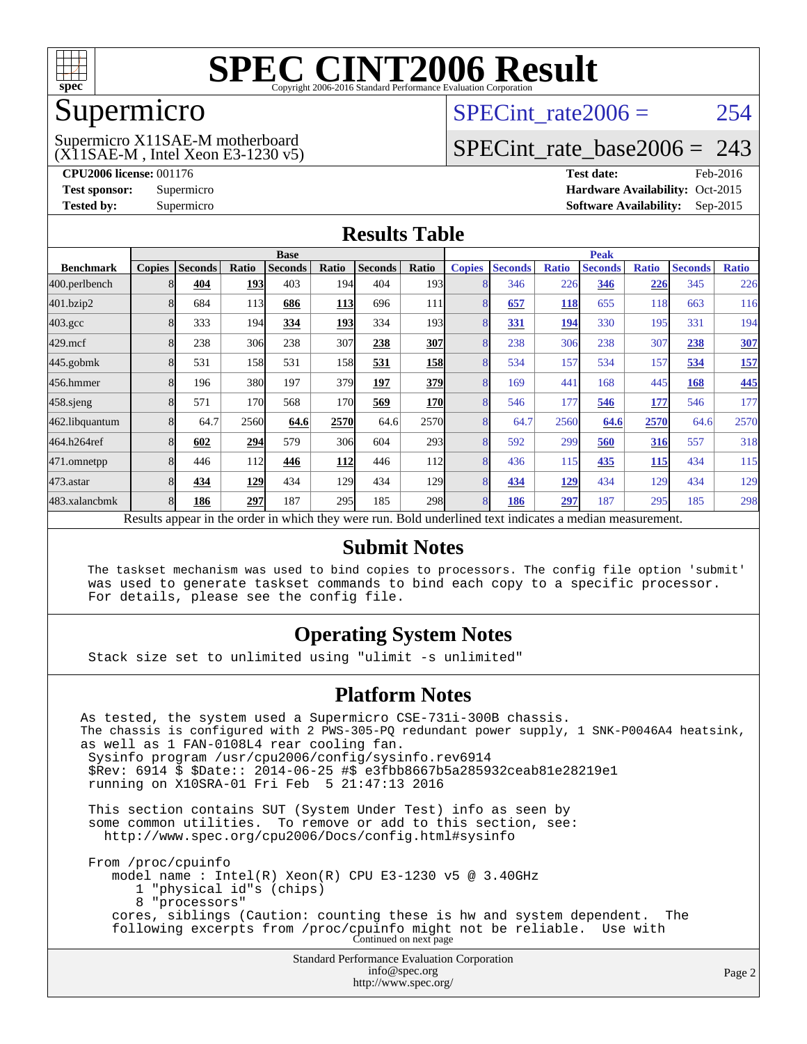

### Supermicro

#### (X11SAE-M , Intel Xeon E3-1230 v5) Supermicro X11SAE-M motherboard

SPECint rate $2006 = 254$ 

### [SPECint\\_rate\\_base2006 =](http://www.spec.org/auto/cpu2006/Docs/result-fields.html#SPECintratebase2006) 243

**[CPU2006 license:](http://www.spec.org/auto/cpu2006/Docs/result-fields.html#CPU2006license)** 001176 **[Test date:](http://www.spec.org/auto/cpu2006/Docs/result-fields.html#Testdate)** Feb-2016 **[Test sponsor:](http://www.spec.org/auto/cpu2006/Docs/result-fields.html#Testsponsor)** Supermicro Supermicro **[Hardware Availability:](http://www.spec.org/auto/cpu2006/Docs/result-fields.html#HardwareAvailability)** Oct-2015 **[Tested by:](http://www.spec.org/auto/cpu2006/Docs/result-fields.html#Testedby)** Supermicro **Supermicro [Software Availability:](http://www.spec.org/auto/cpu2006/Docs/result-fields.html#SoftwareAvailability)** Sep-2015

### **[Results Table](http://www.spec.org/auto/cpu2006/Docs/result-fields.html#ResultsTable)**

|                                                                                                          | <b>Base</b>   |                |       |                |            | <b>Peak</b>    |                  |               |                |              |                |              |                |              |
|----------------------------------------------------------------------------------------------------------|---------------|----------------|-------|----------------|------------|----------------|------------------|---------------|----------------|--------------|----------------|--------------|----------------|--------------|
| <b>Benchmark</b>                                                                                         | <b>Copies</b> | <b>Seconds</b> | Ratio | <b>Seconds</b> | Ratio      | <b>Seconds</b> | Ratio            | <b>Copies</b> | <b>Seconds</b> | <b>Ratio</b> | <b>Seconds</b> | <b>Ratio</b> | <b>Seconds</b> | <b>Ratio</b> |
| 400.perlbench                                                                                            |               | 404            | 193   | 403            | 194        | 404            | 193 <sup>1</sup> | 8             | 346            | 226          | 346            | 226          | 345            | 226          |
| 401.bzip2                                                                                                |               | 684            | 113   | 686            | <u>113</u> | 696            | 111              | 8             | 657            | 118          | 655            | 118          | 663            | 116          |
| $403.\mathrm{gcc}$                                                                                       |               | 333            | 194   | 334            | 193        | 334            | 193 <sup>1</sup> | 8             | 331            | 194          | 330            | 195          | 331            | 194          |
| $429$ .mcf                                                                                               |               | 238            | 306   | 238            | 307        | 238            | <b>307</b>       | 8             | 238            | 306          | 238            | 307          | 238            | 307          |
| $445$ .gobm $k$                                                                                          |               | 531            | 158   | 531            | 158        | 531            | <b>158</b>       | 8             | 534            | 157          | 534            | 157          | 534            | 157          |
| 456.hmmer                                                                                                |               | 196            | 380l  | 197            | 379        | 197            | <u>379</u>       | 8             | 169            | 441          | 168            | 445          | 168            | 445          |
| $458$ .sjeng                                                                                             | 8             | 571            | 170   | 568            | 170I       | 569            | <b>170</b>       | 8             | 546            | 177          | 546            | 177          | 546            | 177          |
| 462.libquantum                                                                                           |               | 64.7           | 2560  | 64.6           | 2570       | 64.6           | 2570             | 8             | 64.7           | 2560         | 64.6           | 2570         | 64.6           | 2570         |
| 464.h264ref                                                                                              |               | 602            | 294   | 579            | 306        | 604            | 293              | 8             | 592            | 299          | 560            | 316          | 557            | 318          |
| 471.omnetpp                                                                                              |               | 446            | 112   | 446            | 112        | 446            | 112 <sup> </sup> | 8             | 436            | 115          | 435            | 115          | 434            | 115          |
| $473$ . astar                                                                                            |               | 434            | 129   | 434            | 129        | 434            | 129              | 8             | 434            | 129          | 434            | 129          | 434            | 129          |
| 483.xalancbmk                                                                                            |               | 186            | 297   | 187            | 295        | 185            | 298 <sub>l</sub> | 8             | 186            | 297          | 187            | 295          | 185            | 298          |
| Results appear in the order in which they were run. Bold underlined text indicates a median measurement. |               |                |       |                |            |                |                  |               |                |              |                |              |                |              |

### **[Submit Notes](http://www.spec.org/auto/cpu2006/Docs/result-fields.html#SubmitNotes)**

 The taskset mechanism was used to bind copies to processors. The config file option 'submit' was used to generate taskset commands to bind each copy to a specific processor. For details, please see the config file.

### **[Operating System Notes](http://www.spec.org/auto/cpu2006/Docs/result-fields.html#OperatingSystemNotes)**

Stack size set to unlimited using "ulimit -s unlimited"

### **[Platform Notes](http://www.spec.org/auto/cpu2006/Docs/result-fields.html#PlatformNotes)**

Standard Performance Evaluation Corporation [info@spec.org](mailto:info@spec.org) As tested, the system used a Supermicro CSE-731i-300B chassis. The chassis is configured with 2 PWS-305-PQ redundant power supply, 1 SNK-P0046A4 heatsink, as well as 1 FAN-0108L4 rear cooling fan. Sysinfo program /usr/cpu2006/config/sysinfo.rev6914 \$Rev: 6914 \$ \$Date:: 2014-06-25 #\$ e3fbb8667b5a285932ceab81e28219e1 running on X10SRA-01 Fri Feb 5 21:47:13 2016 This section contains SUT (System Under Test) info as seen by some common utilities. To remove or add to this section, see: <http://www.spec.org/cpu2006/Docs/config.html#sysinfo> From /proc/cpuinfo model name : Intel(R) Xeon(R) CPU E3-1230 v5 @ 3.40GHz 1 "physical id"s (chips) 8 "processors" cores, siblings (Caution: counting these is hw and system dependent. The following excerpts from /proc/cpuinfo might not be reliable. Use with Continued on next page

<http://www.spec.org/>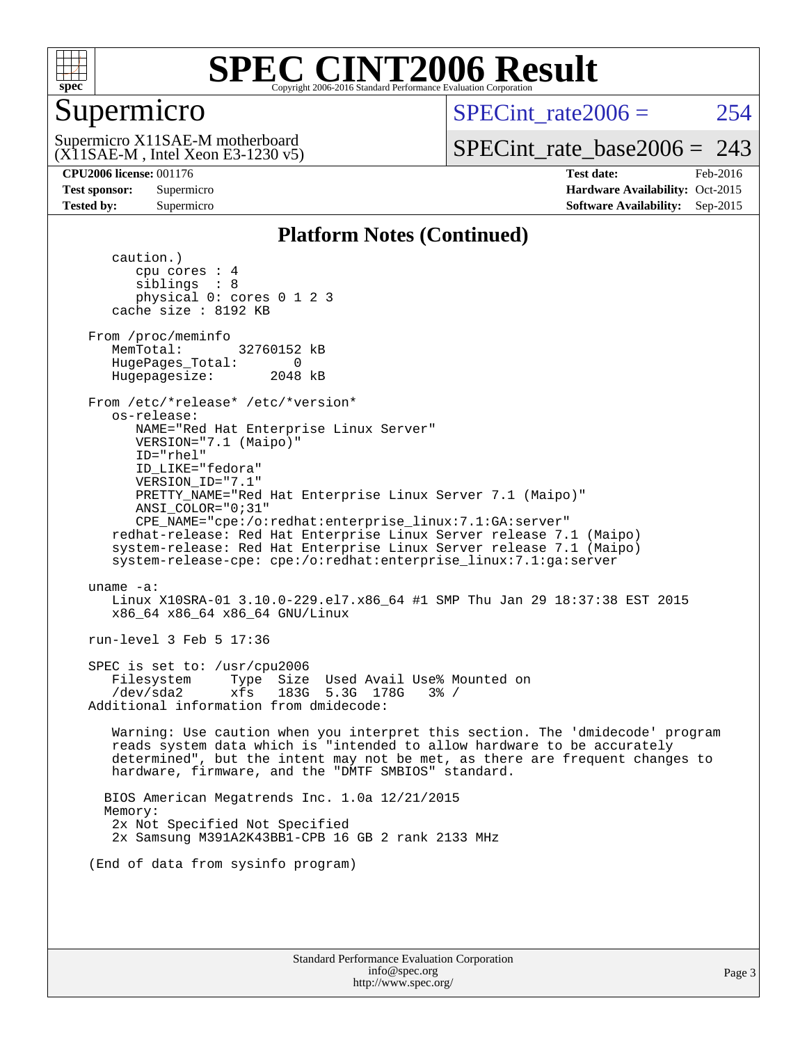

## Supermicro

 $SPECint rate2006 = 254$ 

(X11SAE-M , Intel Xeon E3-1230 v5) Supermicro X11SAE-M motherboard

[SPECint\\_rate\\_base2006 =](http://www.spec.org/auto/cpu2006/Docs/result-fields.html#SPECintratebase2006)  $243$ 

**[CPU2006 license:](http://www.spec.org/auto/cpu2006/Docs/result-fields.html#CPU2006license)** 001176 **[Test date:](http://www.spec.org/auto/cpu2006/Docs/result-fields.html#Testdate)** Feb-2016 **[Test sponsor:](http://www.spec.org/auto/cpu2006/Docs/result-fields.html#Testsponsor)** Supermicro Supermicro **[Hardware Availability:](http://www.spec.org/auto/cpu2006/Docs/result-fields.html#HardwareAvailability)** Oct-2015 **[Tested by:](http://www.spec.org/auto/cpu2006/Docs/result-fields.html#Testedby)** Supermicro **Supermicro [Software Availability:](http://www.spec.org/auto/cpu2006/Docs/result-fields.html#SoftwareAvailability)** Sep-2015

### **[Platform Notes \(Continued\)](http://www.spec.org/auto/cpu2006/Docs/result-fields.html#PlatformNotes)**

 caution.) cpu cores : 4 siblings : 8 physical 0: cores 0 1 2 3 cache size : 8192 KB From /proc/meminfo MemTotal: 32760152 kB HugePages\_Total: 0<br>Hugepagesize: 2048 kB Hugepagesize: From /etc/\*release\* /etc/\*version\* os-release: NAME="Red Hat Enterprise Linux Server" VERSION="7.1 (Maipo)" ID="rhel" ID\_LIKE="fedora" VERSION\_ID="7.1" PRETTY\_NAME="Red Hat Enterprise Linux Server 7.1 (Maipo)" ANSI\_COLOR="0;31" CPE\_NAME="cpe:/o:redhat:enterprise\_linux:7.1:GA:server" redhat-release: Red Hat Enterprise Linux Server release 7.1 (Maipo) system-release: Red Hat Enterprise Linux Server release 7.1 (Maipo) system-release-cpe: cpe:/o:redhat:enterprise\_linux:7.1:ga:server uname -a: Linux X10SRA-01 3.10.0-229.el7.x86\_64 #1 SMP Thu Jan 29 18:37:38 EST 2015 x86\_64 x86\_64 x86\_64 GNU/Linux run-level 3 Feb 5 17:36 SPEC is set to: /usr/cpu2006 Filesystem Type Size Used Avail Use% Mounted on /dev/sda2 xfs 183G 5.3G 178G 3% / Additional information from dmidecode: Warning: Use caution when you interpret this section. The 'dmidecode' program reads system data which is "intended to allow hardware to be accurately determined", but the intent may not be met, as there are frequent changes to hardware, firmware, and the "DMTF SMBIOS" standard. BIOS American Megatrends Inc. 1.0a 12/21/2015 Memory: 2x Not Specified Not Specified 2x Samsung M391A2K43BB1-CPB 16 GB 2 rank 2133 MHz (End of data from sysinfo program)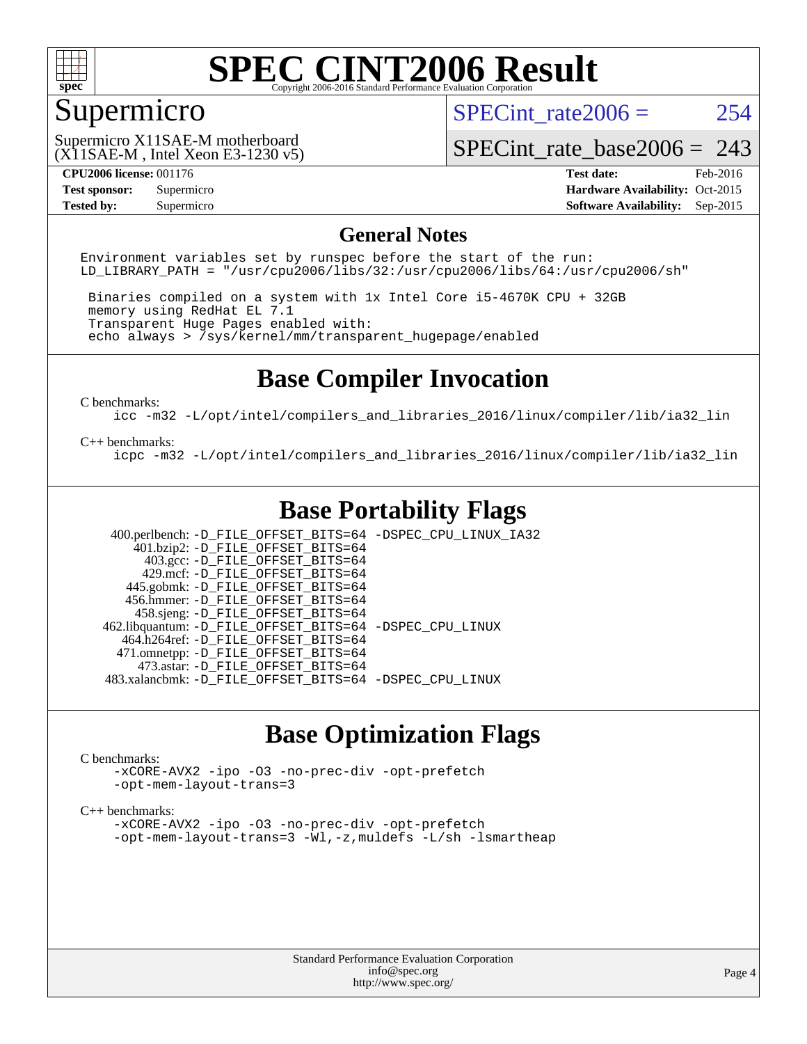

## Supermicro

SPECint rate $2006 = 254$ 

(X11SAE-M , Intel Xeon E3-1230 v5) Supermicro X11SAE-M motherboard

[SPECint\\_rate\\_base2006 =](http://www.spec.org/auto/cpu2006/Docs/result-fields.html#SPECintratebase2006) 243

**[CPU2006 license:](http://www.spec.org/auto/cpu2006/Docs/result-fields.html#CPU2006license)** 001176 **[Test date:](http://www.spec.org/auto/cpu2006/Docs/result-fields.html#Testdate)** Feb-2016 **[Test sponsor:](http://www.spec.org/auto/cpu2006/Docs/result-fields.html#Testsponsor)** Supermicro Supermicro **[Hardware Availability:](http://www.spec.org/auto/cpu2006/Docs/result-fields.html#HardwareAvailability)** Oct-2015 **[Tested by:](http://www.spec.org/auto/cpu2006/Docs/result-fields.html#Testedby)** Supermicro **Supermicro [Software Availability:](http://www.spec.org/auto/cpu2006/Docs/result-fields.html#SoftwareAvailability)** Sep-2015

### **[General Notes](http://www.spec.org/auto/cpu2006/Docs/result-fields.html#GeneralNotes)**

Environment variables set by runspec before the start of the run: LD LIBRARY PATH = "/usr/cpu2006/libs/32:/usr/cpu2006/libs/64:/usr/cpu2006/sh"

 Binaries compiled on a system with 1x Intel Core i5-4670K CPU + 32GB memory using RedHat EL 7.1 Transparent Huge Pages enabled with: echo always > /sys/kernel/mm/transparent\_hugepage/enabled

### **[Base Compiler Invocation](http://www.spec.org/auto/cpu2006/Docs/result-fields.html#BaseCompilerInvocation)**

[C benchmarks](http://www.spec.org/auto/cpu2006/Docs/result-fields.html#Cbenchmarks):

[icc -m32 -L/opt/intel/compilers\\_and\\_libraries\\_2016/linux/compiler/lib/ia32\\_lin](http://www.spec.org/cpu2006/results/res2016q1/cpu2006-20160307-39289.flags.html#user_CCbase_intel_icc_e10256ba5924b668798078a321b0cb3f)

#### [C++ benchmarks:](http://www.spec.org/auto/cpu2006/Docs/result-fields.html#CXXbenchmarks)

[icpc -m32 -L/opt/intel/compilers\\_and\\_libraries\\_2016/linux/compiler/lib/ia32\\_lin](http://www.spec.org/cpu2006/results/res2016q1/cpu2006-20160307-39289.flags.html#user_CXXbase_intel_icpc_b4f50a394bdb4597aa5879c16bc3f5c5)

## **[Base Portability Flags](http://www.spec.org/auto/cpu2006/Docs/result-fields.html#BasePortabilityFlags)**

 400.perlbench: [-D\\_FILE\\_OFFSET\\_BITS=64](http://www.spec.org/cpu2006/results/res2016q1/cpu2006-20160307-39289.flags.html#user_basePORTABILITY400_perlbench_file_offset_bits_64_438cf9856305ebd76870a2c6dc2689ab) [-DSPEC\\_CPU\\_LINUX\\_IA32](http://www.spec.org/cpu2006/results/res2016q1/cpu2006-20160307-39289.flags.html#b400.perlbench_baseCPORTABILITY_DSPEC_CPU_LINUX_IA32)  $401.bzip2: -D$ FILE\_OFFSET\_BITS=64 403.gcc: [-D\\_FILE\\_OFFSET\\_BITS=64](http://www.spec.org/cpu2006/results/res2016q1/cpu2006-20160307-39289.flags.html#user_basePORTABILITY403_gcc_file_offset_bits_64_438cf9856305ebd76870a2c6dc2689ab) 429.mcf: [-D\\_FILE\\_OFFSET\\_BITS=64](http://www.spec.org/cpu2006/results/res2016q1/cpu2006-20160307-39289.flags.html#user_basePORTABILITY429_mcf_file_offset_bits_64_438cf9856305ebd76870a2c6dc2689ab) 445.gobmk: [-D\\_FILE\\_OFFSET\\_BITS=64](http://www.spec.org/cpu2006/results/res2016q1/cpu2006-20160307-39289.flags.html#user_basePORTABILITY445_gobmk_file_offset_bits_64_438cf9856305ebd76870a2c6dc2689ab) 456.hmmer: [-D\\_FILE\\_OFFSET\\_BITS=64](http://www.spec.org/cpu2006/results/res2016q1/cpu2006-20160307-39289.flags.html#user_basePORTABILITY456_hmmer_file_offset_bits_64_438cf9856305ebd76870a2c6dc2689ab) 458.sjeng: [-D\\_FILE\\_OFFSET\\_BITS=64](http://www.spec.org/cpu2006/results/res2016q1/cpu2006-20160307-39289.flags.html#user_basePORTABILITY458_sjeng_file_offset_bits_64_438cf9856305ebd76870a2c6dc2689ab) 462.libquantum: [-D\\_FILE\\_OFFSET\\_BITS=64](http://www.spec.org/cpu2006/results/res2016q1/cpu2006-20160307-39289.flags.html#user_basePORTABILITY462_libquantum_file_offset_bits_64_438cf9856305ebd76870a2c6dc2689ab) [-DSPEC\\_CPU\\_LINUX](http://www.spec.org/cpu2006/results/res2016q1/cpu2006-20160307-39289.flags.html#b462.libquantum_baseCPORTABILITY_DSPEC_CPU_LINUX) 464.h264ref: [-D\\_FILE\\_OFFSET\\_BITS=64](http://www.spec.org/cpu2006/results/res2016q1/cpu2006-20160307-39289.flags.html#user_basePORTABILITY464_h264ref_file_offset_bits_64_438cf9856305ebd76870a2c6dc2689ab) 471.omnetpp: [-D\\_FILE\\_OFFSET\\_BITS=64](http://www.spec.org/cpu2006/results/res2016q1/cpu2006-20160307-39289.flags.html#user_basePORTABILITY471_omnetpp_file_offset_bits_64_438cf9856305ebd76870a2c6dc2689ab) 473.astar: [-D\\_FILE\\_OFFSET\\_BITS=64](http://www.spec.org/cpu2006/results/res2016q1/cpu2006-20160307-39289.flags.html#user_basePORTABILITY473_astar_file_offset_bits_64_438cf9856305ebd76870a2c6dc2689ab) 483.xalancbmk: [-D\\_FILE\\_OFFSET\\_BITS=64](http://www.spec.org/cpu2006/results/res2016q1/cpu2006-20160307-39289.flags.html#user_basePORTABILITY483_xalancbmk_file_offset_bits_64_438cf9856305ebd76870a2c6dc2689ab) [-DSPEC\\_CPU\\_LINUX](http://www.spec.org/cpu2006/results/res2016q1/cpu2006-20160307-39289.flags.html#b483.xalancbmk_baseCXXPORTABILITY_DSPEC_CPU_LINUX)

### **[Base Optimization Flags](http://www.spec.org/auto/cpu2006/Docs/result-fields.html#BaseOptimizationFlags)**

#### [C benchmarks](http://www.spec.org/auto/cpu2006/Docs/result-fields.html#Cbenchmarks):

[-xCORE-AVX2](http://www.spec.org/cpu2006/results/res2016q1/cpu2006-20160307-39289.flags.html#user_CCbase_f-xAVX2_5f5fc0cbe2c9f62c816d3e45806c70d7) [-ipo](http://www.spec.org/cpu2006/results/res2016q1/cpu2006-20160307-39289.flags.html#user_CCbase_f-ipo) [-O3](http://www.spec.org/cpu2006/results/res2016q1/cpu2006-20160307-39289.flags.html#user_CCbase_f-O3) [-no-prec-div](http://www.spec.org/cpu2006/results/res2016q1/cpu2006-20160307-39289.flags.html#user_CCbase_f-no-prec-div) [-opt-prefetch](http://www.spec.org/cpu2006/results/res2016q1/cpu2006-20160307-39289.flags.html#user_CCbase_f-opt-prefetch) [-opt-mem-layout-trans=3](http://www.spec.org/cpu2006/results/res2016q1/cpu2006-20160307-39289.flags.html#user_CCbase_f-opt-mem-layout-trans_a7b82ad4bd7abf52556d4961a2ae94d5)

#### [C++ benchmarks:](http://www.spec.org/auto/cpu2006/Docs/result-fields.html#CXXbenchmarks)

[-xCORE-AVX2](http://www.spec.org/cpu2006/results/res2016q1/cpu2006-20160307-39289.flags.html#user_CXXbase_f-xAVX2_5f5fc0cbe2c9f62c816d3e45806c70d7) [-ipo](http://www.spec.org/cpu2006/results/res2016q1/cpu2006-20160307-39289.flags.html#user_CXXbase_f-ipo) [-O3](http://www.spec.org/cpu2006/results/res2016q1/cpu2006-20160307-39289.flags.html#user_CXXbase_f-O3) [-no-prec-div](http://www.spec.org/cpu2006/results/res2016q1/cpu2006-20160307-39289.flags.html#user_CXXbase_f-no-prec-div) [-opt-prefetch](http://www.spec.org/cpu2006/results/res2016q1/cpu2006-20160307-39289.flags.html#user_CXXbase_f-opt-prefetch) [-opt-mem-layout-trans=3](http://www.spec.org/cpu2006/results/res2016q1/cpu2006-20160307-39289.flags.html#user_CXXbase_f-opt-mem-layout-trans_a7b82ad4bd7abf52556d4961a2ae94d5) [-Wl,-z,muldefs](http://www.spec.org/cpu2006/results/res2016q1/cpu2006-20160307-39289.flags.html#user_CXXbase_link_force_multiple1_74079c344b956b9658436fd1b6dd3a8a) [-L/sh -lsmartheap](http://www.spec.org/cpu2006/results/res2016q1/cpu2006-20160307-39289.flags.html#user_CXXbase_SmartHeap_32f6c82aa1ed9c52345d30cf6e4a0499)

> Standard Performance Evaluation Corporation [info@spec.org](mailto:info@spec.org) <http://www.spec.org/>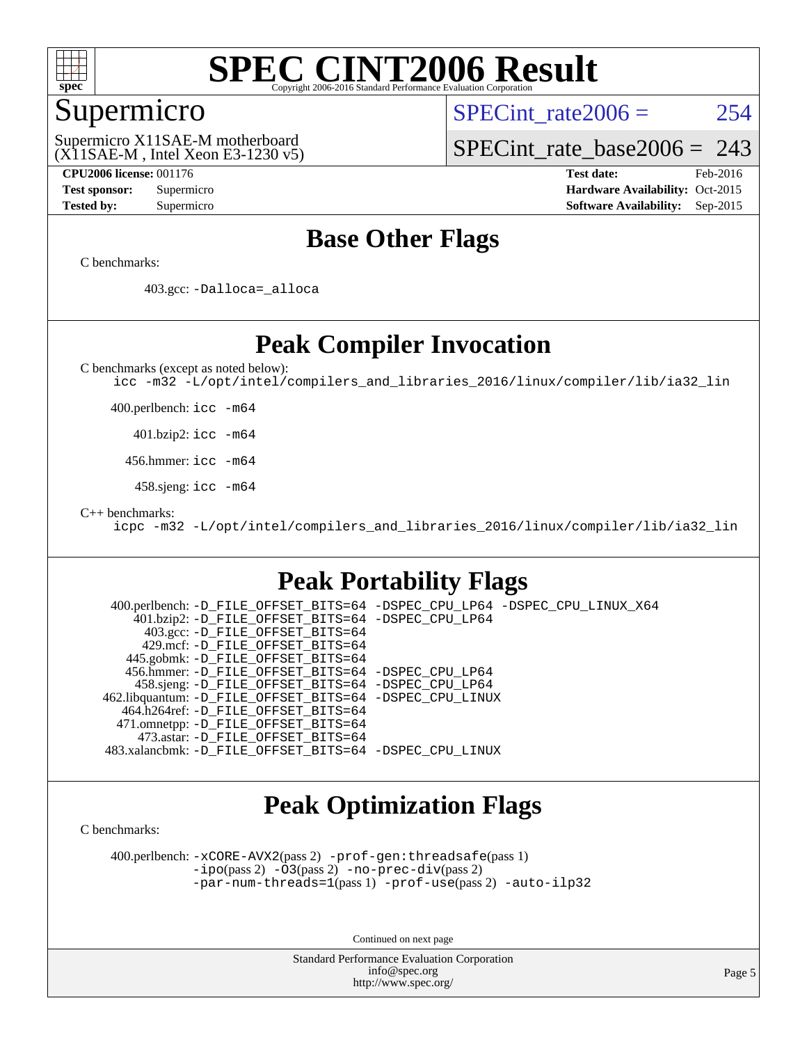

### Supermicro

SPECint rate $2006 = 254$ 

(X11SAE-M , Intel Xeon E3-1230 v5) Supermicro X11SAE-M motherboard

[SPECint\\_rate\\_base2006 =](http://www.spec.org/auto/cpu2006/Docs/result-fields.html#SPECintratebase2006)  $243$ 

**[CPU2006 license:](http://www.spec.org/auto/cpu2006/Docs/result-fields.html#CPU2006license)** 001176 **[Test date:](http://www.spec.org/auto/cpu2006/Docs/result-fields.html#Testdate)** Feb-2016 **[Test sponsor:](http://www.spec.org/auto/cpu2006/Docs/result-fields.html#Testsponsor)** Supermicro Supermicro **[Hardware Availability:](http://www.spec.org/auto/cpu2006/Docs/result-fields.html#HardwareAvailability)** Oct-2015 **[Tested by:](http://www.spec.org/auto/cpu2006/Docs/result-fields.html#Testedby)** Supermicro **Supermicro [Software Availability:](http://www.spec.org/auto/cpu2006/Docs/result-fields.html#SoftwareAvailability)** Sep-2015

### **[Base Other Flags](http://www.spec.org/auto/cpu2006/Docs/result-fields.html#BaseOtherFlags)**

[C benchmarks](http://www.spec.org/auto/cpu2006/Docs/result-fields.html#Cbenchmarks):

403.gcc: [-Dalloca=\\_alloca](http://www.spec.org/cpu2006/results/res2016q1/cpu2006-20160307-39289.flags.html#b403.gcc_baseEXTRA_CFLAGS_Dalloca_be3056838c12de2578596ca5467af7f3)

### **[Peak Compiler Invocation](http://www.spec.org/auto/cpu2006/Docs/result-fields.html#PeakCompilerInvocation)**

[C benchmarks \(except as noted below\)](http://www.spec.org/auto/cpu2006/Docs/result-fields.html#Cbenchmarksexceptasnotedbelow):

[icc -m32 -L/opt/intel/compilers\\_and\\_libraries\\_2016/linux/compiler/lib/ia32\\_lin](http://www.spec.org/cpu2006/results/res2016q1/cpu2006-20160307-39289.flags.html#user_CCpeak_intel_icc_e10256ba5924b668798078a321b0cb3f)

400.perlbench: [icc -m64](http://www.spec.org/cpu2006/results/res2016q1/cpu2006-20160307-39289.flags.html#user_peakCCLD400_perlbench_intel_icc_64bit_bda6cc9af1fdbb0edc3795bac97ada53)

401.bzip2: [icc -m64](http://www.spec.org/cpu2006/results/res2016q1/cpu2006-20160307-39289.flags.html#user_peakCCLD401_bzip2_intel_icc_64bit_bda6cc9af1fdbb0edc3795bac97ada53)

456.hmmer: [icc -m64](http://www.spec.org/cpu2006/results/res2016q1/cpu2006-20160307-39289.flags.html#user_peakCCLD456_hmmer_intel_icc_64bit_bda6cc9af1fdbb0edc3795bac97ada53)

458.sjeng: [icc -m64](http://www.spec.org/cpu2006/results/res2016q1/cpu2006-20160307-39289.flags.html#user_peakCCLD458_sjeng_intel_icc_64bit_bda6cc9af1fdbb0edc3795bac97ada53)

[C++ benchmarks:](http://www.spec.org/auto/cpu2006/Docs/result-fields.html#CXXbenchmarks)

[icpc -m32 -L/opt/intel/compilers\\_and\\_libraries\\_2016/linux/compiler/lib/ia32\\_lin](http://www.spec.org/cpu2006/results/res2016q1/cpu2006-20160307-39289.flags.html#user_CXXpeak_intel_icpc_b4f50a394bdb4597aa5879c16bc3f5c5)

### **[Peak Portability Flags](http://www.spec.org/auto/cpu2006/Docs/result-fields.html#PeakPortabilityFlags)**

 400.perlbench: [-D\\_FILE\\_OFFSET\\_BITS=64](http://www.spec.org/cpu2006/results/res2016q1/cpu2006-20160307-39289.flags.html#user_peakPORTABILITY400_perlbench_file_offset_bits_64_438cf9856305ebd76870a2c6dc2689ab) [-DSPEC\\_CPU\\_LP64](http://www.spec.org/cpu2006/results/res2016q1/cpu2006-20160307-39289.flags.html#b400.perlbench_peakCPORTABILITY_DSPEC_CPU_LP64) [-DSPEC\\_CPU\\_LINUX\\_X64](http://www.spec.org/cpu2006/results/res2016q1/cpu2006-20160307-39289.flags.html#b400.perlbench_peakCPORTABILITY_DSPEC_CPU_LINUX_X64) 401.bzip2: [-D\\_FILE\\_OFFSET\\_BITS=64](http://www.spec.org/cpu2006/results/res2016q1/cpu2006-20160307-39289.flags.html#user_peakPORTABILITY401_bzip2_file_offset_bits_64_438cf9856305ebd76870a2c6dc2689ab) [-DSPEC\\_CPU\\_LP64](http://www.spec.org/cpu2006/results/res2016q1/cpu2006-20160307-39289.flags.html#suite_peakCPORTABILITY401_bzip2_DSPEC_CPU_LP64) 403.gcc: [-D\\_FILE\\_OFFSET\\_BITS=64](http://www.spec.org/cpu2006/results/res2016q1/cpu2006-20160307-39289.flags.html#user_peakPORTABILITY403_gcc_file_offset_bits_64_438cf9856305ebd76870a2c6dc2689ab) 429.mcf: [-D\\_FILE\\_OFFSET\\_BITS=64](http://www.spec.org/cpu2006/results/res2016q1/cpu2006-20160307-39289.flags.html#user_peakPORTABILITY429_mcf_file_offset_bits_64_438cf9856305ebd76870a2c6dc2689ab) 445.gobmk: [-D\\_FILE\\_OFFSET\\_BITS=64](http://www.spec.org/cpu2006/results/res2016q1/cpu2006-20160307-39289.flags.html#user_peakPORTABILITY445_gobmk_file_offset_bits_64_438cf9856305ebd76870a2c6dc2689ab) 456.hmmer: [-D\\_FILE\\_OFFSET\\_BITS=64](http://www.spec.org/cpu2006/results/res2016q1/cpu2006-20160307-39289.flags.html#user_peakPORTABILITY456_hmmer_file_offset_bits_64_438cf9856305ebd76870a2c6dc2689ab) [-DSPEC\\_CPU\\_LP64](http://www.spec.org/cpu2006/results/res2016q1/cpu2006-20160307-39289.flags.html#suite_peakCPORTABILITY456_hmmer_DSPEC_CPU_LP64) 458.sjeng: [-D\\_FILE\\_OFFSET\\_BITS=64](http://www.spec.org/cpu2006/results/res2016q1/cpu2006-20160307-39289.flags.html#user_peakPORTABILITY458_sjeng_file_offset_bits_64_438cf9856305ebd76870a2c6dc2689ab) [-DSPEC\\_CPU\\_LP64](http://www.spec.org/cpu2006/results/res2016q1/cpu2006-20160307-39289.flags.html#suite_peakCPORTABILITY458_sjeng_DSPEC_CPU_LP64) 462.libquantum: [-D\\_FILE\\_OFFSET\\_BITS=64](http://www.spec.org/cpu2006/results/res2016q1/cpu2006-20160307-39289.flags.html#user_peakPORTABILITY462_libquantum_file_offset_bits_64_438cf9856305ebd76870a2c6dc2689ab) [-DSPEC\\_CPU\\_LINUX](http://www.spec.org/cpu2006/results/res2016q1/cpu2006-20160307-39289.flags.html#b462.libquantum_peakCPORTABILITY_DSPEC_CPU_LINUX) 464.h264ref: [-D\\_FILE\\_OFFSET\\_BITS=64](http://www.spec.org/cpu2006/results/res2016q1/cpu2006-20160307-39289.flags.html#user_peakPORTABILITY464_h264ref_file_offset_bits_64_438cf9856305ebd76870a2c6dc2689ab) 471.omnetpp: [-D\\_FILE\\_OFFSET\\_BITS=64](http://www.spec.org/cpu2006/results/res2016q1/cpu2006-20160307-39289.flags.html#user_peakPORTABILITY471_omnetpp_file_offset_bits_64_438cf9856305ebd76870a2c6dc2689ab) 473.astar: [-D\\_FILE\\_OFFSET\\_BITS=64](http://www.spec.org/cpu2006/results/res2016q1/cpu2006-20160307-39289.flags.html#user_peakPORTABILITY473_astar_file_offset_bits_64_438cf9856305ebd76870a2c6dc2689ab) 483.xalancbmk: [-D\\_FILE\\_OFFSET\\_BITS=64](http://www.spec.org/cpu2006/results/res2016q1/cpu2006-20160307-39289.flags.html#user_peakPORTABILITY483_xalancbmk_file_offset_bits_64_438cf9856305ebd76870a2c6dc2689ab) [-DSPEC\\_CPU\\_LINUX](http://www.spec.org/cpu2006/results/res2016q1/cpu2006-20160307-39289.flags.html#b483.xalancbmk_peakCXXPORTABILITY_DSPEC_CPU_LINUX)

## **[Peak Optimization Flags](http://www.spec.org/auto/cpu2006/Docs/result-fields.html#PeakOptimizationFlags)**

[C benchmarks](http://www.spec.org/auto/cpu2006/Docs/result-fields.html#Cbenchmarks):

 400.perlbench: [-xCORE-AVX2](http://www.spec.org/cpu2006/results/res2016q1/cpu2006-20160307-39289.flags.html#user_peakPASS2_CFLAGSPASS2_LDCFLAGS400_perlbench_f-xAVX2_5f5fc0cbe2c9f62c816d3e45806c70d7)(pass 2) [-prof-gen:threadsafe](http://www.spec.org/cpu2006/results/res2016q1/cpu2006-20160307-39289.flags.html#user_peakPASS1_CFLAGSPASS1_LDCFLAGS400_perlbench_prof_gen_21a26eb79f378b550acd7bec9fe4467a)(pass 1) [-ipo](http://www.spec.org/cpu2006/results/res2016q1/cpu2006-20160307-39289.flags.html#user_peakPASS2_CFLAGSPASS2_LDCFLAGS400_perlbench_f-ipo)(pass 2) [-O3](http://www.spec.org/cpu2006/results/res2016q1/cpu2006-20160307-39289.flags.html#user_peakPASS2_CFLAGSPASS2_LDCFLAGS400_perlbench_f-O3)(pass 2) [-no-prec-div](http://www.spec.org/cpu2006/results/res2016q1/cpu2006-20160307-39289.flags.html#user_peakPASS2_CFLAGSPASS2_LDCFLAGS400_perlbench_f-no-prec-div)(pass 2) [-par-num-threads=1](http://www.spec.org/cpu2006/results/res2016q1/cpu2006-20160307-39289.flags.html#user_peakPASS1_CFLAGSPASS1_LDCFLAGS400_perlbench_par_num_threads_786a6ff141b4e9e90432e998842df6c2)(pass 1) [-prof-use](http://www.spec.org/cpu2006/results/res2016q1/cpu2006-20160307-39289.flags.html#user_peakPASS2_CFLAGSPASS2_LDCFLAGS400_perlbench_prof_use_bccf7792157ff70d64e32fe3e1250b55)(pass 2) [-auto-ilp32](http://www.spec.org/cpu2006/results/res2016q1/cpu2006-20160307-39289.flags.html#user_peakCOPTIMIZE400_perlbench_f-auto-ilp32)

Continued on next page

Standard Performance Evaluation Corporation [info@spec.org](mailto:info@spec.org) <http://www.spec.org/>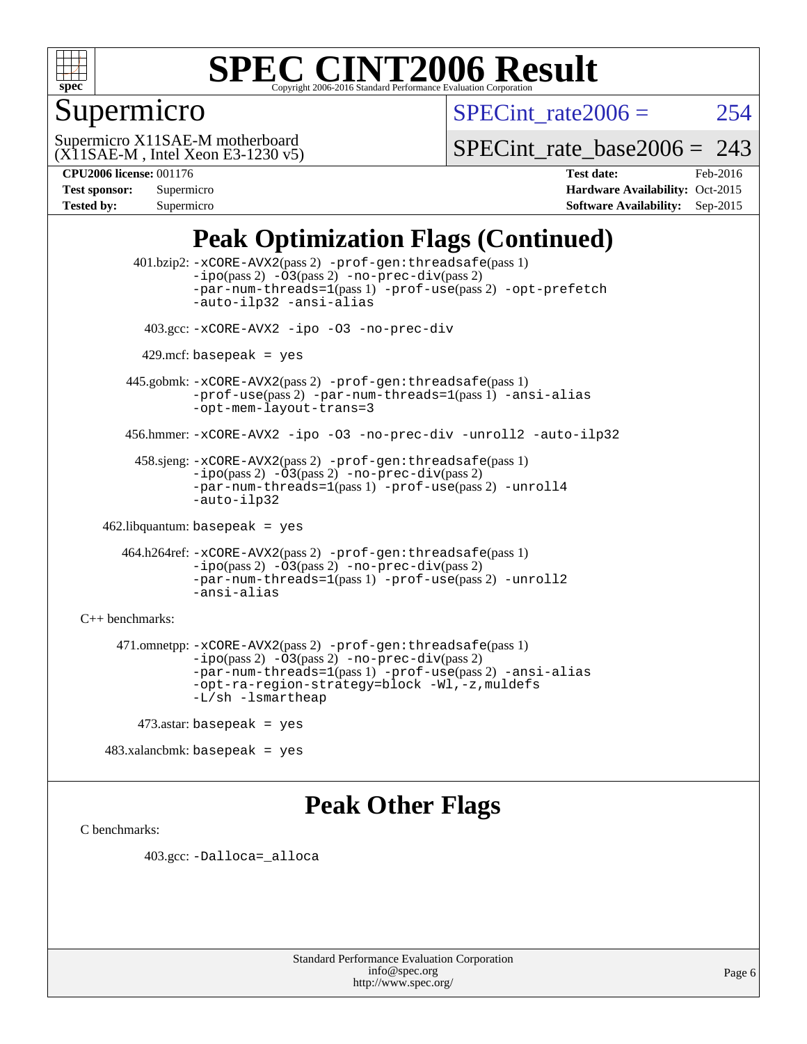

## Supermicro

SPECint rate $2006 = 254$ 

(X11SAE-M , Intel Xeon E3-1230 v5) Supermicro X11SAE-M motherboard

SPECint rate base2006 =  $243$ 

| <b>Test sponsor:</b> | Supermicro |
|----------------------|------------|
| <b>Tested by:</b>    | Supermicro |

**[CPU2006 license:](http://www.spec.org/auto/cpu2006/Docs/result-fields.html#CPU2006license)** 001176 **[Test date:](http://www.spec.org/auto/cpu2006/Docs/result-fields.html#Testdate)** Feb-2016 **[Hardware Availability:](http://www.spec.org/auto/cpu2006/Docs/result-fields.html#HardwareAvailability)** Oct-2015 **[Software Availability:](http://www.spec.org/auto/cpu2006/Docs/result-fields.html#SoftwareAvailability)** Sep-2015

## **[Peak Optimization Flags \(Continued\)](http://www.spec.org/auto/cpu2006/Docs/result-fields.html#PeakOptimizationFlags)**

 401.bzip2: [-xCORE-AVX2](http://www.spec.org/cpu2006/results/res2016q1/cpu2006-20160307-39289.flags.html#user_peakPASS2_CFLAGSPASS2_LDCFLAGS401_bzip2_f-xAVX2_5f5fc0cbe2c9f62c816d3e45806c70d7)(pass 2) [-prof-gen:threadsafe](http://www.spec.org/cpu2006/results/res2016q1/cpu2006-20160307-39289.flags.html#user_peakPASS1_CFLAGSPASS1_LDCFLAGS401_bzip2_prof_gen_21a26eb79f378b550acd7bec9fe4467a)(pass 1)  $-i\text{po}(pass 2) -\text{O3}(pass 2)$  [-no-prec-div](http://www.spec.org/cpu2006/results/res2016q1/cpu2006-20160307-39289.flags.html#user_peakPASS2_CFLAGSPASS2_LDCFLAGS401_bzip2_f-no-prec-div)(pass 2) [-par-num-threads=1](http://www.spec.org/cpu2006/results/res2016q1/cpu2006-20160307-39289.flags.html#user_peakPASS1_CFLAGSPASS1_LDCFLAGS401_bzip2_par_num_threads_786a6ff141b4e9e90432e998842df6c2)(pass 1) [-prof-use](http://www.spec.org/cpu2006/results/res2016q1/cpu2006-20160307-39289.flags.html#user_peakPASS2_CFLAGSPASS2_LDCFLAGS401_bzip2_prof_use_bccf7792157ff70d64e32fe3e1250b55)(pass 2) [-opt-prefetch](http://www.spec.org/cpu2006/results/res2016q1/cpu2006-20160307-39289.flags.html#user_peakCOPTIMIZE401_bzip2_f-opt-prefetch) [-auto-ilp32](http://www.spec.org/cpu2006/results/res2016q1/cpu2006-20160307-39289.flags.html#user_peakCOPTIMIZE401_bzip2_f-auto-ilp32) [-ansi-alias](http://www.spec.org/cpu2006/results/res2016q1/cpu2006-20160307-39289.flags.html#user_peakCOPTIMIZE401_bzip2_f-ansi-alias) 403.gcc: [-xCORE-AVX2](http://www.spec.org/cpu2006/results/res2016q1/cpu2006-20160307-39289.flags.html#user_peakCOPTIMIZE403_gcc_f-xAVX2_5f5fc0cbe2c9f62c816d3e45806c70d7) [-ipo](http://www.spec.org/cpu2006/results/res2016q1/cpu2006-20160307-39289.flags.html#user_peakCOPTIMIZE403_gcc_f-ipo) [-O3](http://www.spec.org/cpu2006/results/res2016q1/cpu2006-20160307-39289.flags.html#user_peakCOPTIMIZE403_gcc_f-O3) [-no-prec-div](http://www.spec.org/cpu2006/results/res2016q1/cpu2006-20160307-39289.flags.html#user_peakCOPTIMIZE403_gcc_f-no-prec-div)  $429$ .mcf: basepeak = yes 445.gobmk: [-xCORE-AVX2](http://www.spec.org/cpu2006/results/res2016q1/cpu2006-20160307-39289.flags.html#user_peakPASS2_CFLAGSPASS2_LDCFLAGS445_gobmk_f-xAVX2_5f5fc0cbe2c9f62c816d3e45806c70d7)(pass 2) [-prof-gen:threadsafe](http://www.spec.org/cpu2006/results/res2016q1/cpu2006-20160307-39289.flags.html#user_peakPASS1_CFLAGSPASS1_LDCFLAGS445_gobmk_prof_gen_21a26eb79f378b550acd7bec9fe4467a)(pass 1) [-prof-use](http://www.spec.org/cpu2006/results/res2016q1/cpu2006-20160307-39289.flags.html#user_peakPASS2_CFLAGSPASS2_LDCFLAGS445_gobmk_prof_use_bccf7792157ff70d64e32fe3e1250b55)(pass 2) [-par-num-threads=1](http://www.spec.org/cpu2006/results/res2016q1/cpu2006-20160307-39289.flags.html#user_peakPASS1_CFLAGSPASS1_LDCFLAGS445_gobmk_par_num_threads_786a6ff141b4e9e90432e998842df6c2)(pass 1) [-ansi-alias](http://www.spec.org/cpu2006/results/res2016q1/cpu2006-20160307-39289.flags.html#user_peakCOPTIMIZE445_gobmk_f-ansi-alias) [-opt-mem-layout-trans=3](http://www.spec.org/cpu2006/results/res2016q1/cpu2006-20160307-39289.flags.html#user_peakCOPTIMIZE445_gobmk_f-opt-mem-layout-trans_a7b82ad4bd7abf52556d4961a2ae94d5) 456.hmmer: [-xCORE-AVX2](http://www.spec.org/cpu2006/results/res2016q1/cpu2006-20160307-39289.flags.html#user_peakCOPTIMIZE456_hmmer_f-xAVX2_5f5fc0cbe2c9f62c816d3e45806c70d7) [-ipo](http://www.spec.org/cpu2006/results/res2016q1/cpu2006-20160307-39289.flags.html#user_peakCOPTIMIZE456_hmmer_f-ipo) [-O3](http://www.spec.org/cpu2006/results/res2016q1/cpu2006-20160307-39289.flags.html#user_peakCOPTIMIZE456_hmmer_f-O3) [-no-prec-div](http://www.spec.org/cpu2006/results/res2016q1/cpu2006-20160307-39289.flags.html#user_peakCOPTIMIZE456_hmmer_f-no-prec-div) [-unroll2](http://www.spec.org/cpu2006/results/res2016q1/cpu2006-20160307-39289.flags.html#user_peakCOPTIMIZE456_hmmer_f-unroll_784dae83bebfb236979b41d2422d7ec2) [-auto-ilp32](http://www.spec.org/cpu2006/results/res2016q1/cpu2006-20160307-39289.flags.html#user_peakCOPTIMIZE456_hmmer_f-auto-ilp32) 458.sjeng: [-xCORE-AVX2](http://www.spec.org/cpu2006/results/res2016q1/cpu2006-20160307-39289.flags.html#user_peakPASS2_CFLAGSPASS2_LDCFLAGS458_sjeng_f-xAVX2_5f5fc0cbe2c9f62c816d3e45806c70d7)(pass 2) [-prof-gen:threadsafe](http://www.spec.org/cpu2006/results/res2016q1/cpu2006-20160307-39289.flags.html#user_peakPASS1_CFLAGSPASS1_LDCFLAGS458_sjeng_prof_gen_21a26eb79f378b550acd7bec9fe4467a)(pass 1)  $-i\text{po}(pass 2) -\overline{O}3(pass 2)$  [-no-prec-div](http://www.spec.org/cpu2006/results/res2016q1/cpu2006-20160307-39289.flags.html#user_peakPASS2_CFLAGSPASS2_LDCFLAGS458_sjeng_f-no-prec-div)(pass 2) [-par-num-threads=1](http://www.spec.org/cpu2006/results/res2016q1/cpu2006-20160307-39289.flags.html#user_peakPASS1_CFLAGSPASS1_LDCFLAGS458_sjeng_par_num_threads_786a6ff141b4e9e90432e998842df6c2)(pass 1) [-prof-use](http://www.spec.org/cpu2006/results/res2016q1/cpu2006-20160307-39289.flags.html#user_peakPASS2_CFLAGSPASS2_LDCFLAGS458_sjeng_prof_use_bccf7792157ff70d64e32fe3e1250b55)(pass 2) [-unroll4](http://www.spec.org/cpu2006/results/res2016q1/cpu2006-20160307-39289.flags.html#user_peakCOPTIMIZE458_sjeng_f-unroll_4e5e4ed65b7fd20bdcd365bec371b81f) [-auto-ilp32](http://www.spec.org/cpu2006/results/res2016q1/cpu2006-20160307-39289.flags.html#user_peakCOPTIMIZE458_sjeng_f-auto-ilp32) 462.libquantum: basepeak = yes 464.h264ref: [-xCORE-AVX2](http://www.spec.org/cpu2006/results/res2016q1/cpu2006-20160307-39289.flags.html#user_peakPASS2_CFLAGSPASS2_LDCFLAGS464_h264ref_f-xAVX2_5f5fc0cbe2c9f62c816d3e45806c70d7)(pass 2) [-prof-gen:threadsafe](http://www.spec.org/cpu2006/results/res2016q1/cpu2006-20160307-39289.flags.html#user_peakPASS1_CFLAGSPASS1_LDCFLAGS464_h264ref_prof_gen_21a26eb79f378b550acd7bec9fe4467a)(pass 1) [-ipo](http://www.spec.org/cpu2006/results/res2016q1/cpu2006-20160307-39289.flags.html#user_peakPASS2_CFLAGSPASS2_LDCFLAGS464_h264ref_f-ipo)(pass 2) [-O3](http://www.spec.org/cpu2006/results/res2016q1/cpu2006-20160307-39289.flags.html#user_peakPASS2_CFLAGSPASS2_LDCFLAGS464_h264ref_f-O3)(pass 2) [-no-prec-div](http://www.spec.org/cpu2006/results/res2016q1/cpu2006-20160307-39289.flags.html#user_peakPASS2_CFLAGSPASS2_LDCFLAGS464_h264ref_f-no-prec-div)(pass 2) [-par-num-threads=1](http://www.spec.org/cpu2006/results/res2016q1/cpu2006-20160307-39289.flags.html#user_peakPASS1_CFLAGSPASS1_LDCFLAGS464_h264ref_par_num_threads_786a6ff141b4e9e90432e998842df6c2)(pass 1) [-prof-use](http://www.spec.org/cpu2006/results/res2016q1/cpu2006-20160307-39289.flags.html#user_peakPASS2_CFLAGSPASS2_LDCFLAGS464_h264ref_prof_use_bccf7792157ff70d64e32fe3e1250b55)(pass 2) [-unroll2](http://www.spec.org/cpu2006/results/res2016q1/cpu2006-20160307-39289.flags.html#user_peakCOPTIMIZE464_h264ref_f-unroll_784dae83bebfb236979b41d2422d7ec2) [-ansi-alias](http://www.spec.org/cpu2006/results/res2016q1/cpu2006-20160307-39289.flags.html#user_peakCOPTIMIZE464_h264ref_f-ansi-alias) [C++ benchmarks:](http://www.spec.org/auto/cpu2006/Docs/result-fields.html#CXXbenchmarks) 471.omnetpp: [-xCORE-AVX2](http://www.spec.org/cpu2006/results/res2016q1/cpu2006-20160307-39289.flags.html#user_peakPASS2_CXXFLAGSPASS2_LDCXXFLAGS471_omnetpp_f-xAVX2_5f5fc0cbe2c9f62c816d3e45806c70d7)(pass 2) [-prof-gen:threadsafe](http://www.spec.org/cpu2006/results/res2016q1/cpu2006-20160307-39289.flags.html#user_peakPASS1_CXXFLAGSPASS1_LDCXXFLAGS471_omnetpp_prof_gen_21a26eb79f378b550acd7bec9fe4467a)(pass 1)  $-ipo(pass 2) -\overline{03(pass 2)}$  $-ipo(pass 2) -\overline{03(pass 2)}$  [-no-prec-div](http://www.spec.org/cpu2006/results/res2016q1/cpu2006-20160307-39289.flags.html#user_peakPASS2_CXXFLAGSPASS2_LDCXXFLAGS471_omnetpp_f-no-prec-div)(pass 2) [-par-num-threads=1](http://www.spec.org/cpu2006/results/res2016q1/cpu2006-20160307-39289.flags.html#user_peakPASS1_CXXFLAGSPASS1_LDCXXFLAGS471_omnetpp_par_num_threads_786a6ff141b4e9e90432e998842df6c2)(pass 1) [-prof-use](http://www.spec.org/cpu2006/results/res2016q1/cpu2006-20160307-39289.flags.html#user_peakPASS2_CXXFLAGSPASS2_LDCXXFLAGS471_omnetpp_prof_use_bccf7792157ff70d64e32fe3e1250b55)(pass 2) [-ansi-alias](http://www.spec.org/cpu2006/results/res2016q1/cpu2006-20160307-39289.flags.html#user_peakCXXOPTIMIZE471_omnetpp_f-ansi-alias) [-opt-ra-region-strategy=block](http://www.spec.org/cpu2006/results/res2016q1/cpu2006-20160307-39289.flags.html#user_peakCXXOPTIMIZE471_omnetpp_f-opt-ra-region-strategy_a0a37c372d03933b2a18d4af463c1f69) [-Wl,-z,muldefs](http://www.spec.org/cpu2006/results/res2016q1/cpu2006-20160307-39289.flags.html#user_peakEXTRA_LDFLAGS471_omnetpp_link_force_multiple1_74079c344b956b9658436fd1b6dd3a8a) [-L/sh -lsmartheap](http://www.spec.org/cpu2006/results/res2016q1/cpu2006-20160307-39289.flags.html#user_peakEXTRA_LIBS471_omnetpp_SmartHeap_32f6c82aa1ed9c52345d30cf6e4a0499) 473.astar: basepeak = yes

483.xalancbmk: basepeak = yes

## **[Peak Other Flags](http://www.spec.org/auto/cpu2006/Docs/result-fields.html#PeakOtherFlags)**

[C benchmarks](http://www.spec.org/auto/cpu2006/Docs/result-fields.html#Cbenchmarks):

403.gcc: [-Dalloca=\\_alloca](http://www.spec.org/cpu2006/results/res2016q1/cpu2006-20160307-39289.flags.html#b403.gcc_peakEXTRA_CFLAGS_Dalloca_be3056838c12de2578596ca5467af7f3)